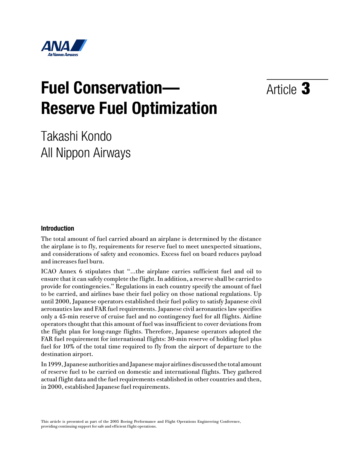

# **Fuel Conservation— Reserve Fuel Optimization**

Article 3

Takashi Kondo All Nippon Airways

## **Introduction**

The total amount of fuel carried aboard an airplane is determined by the distance the airplane is to fly, requirements for reserve fuel to meet unexpected situations, and considerations of safety and economics. Excess fuel on board reduces payload and increases fuel burn.

ICAO Annex 6 stipulates that "…the airplane carries sufficient fuel and oil to ensure that it can safely complete the flight. In addition, a reserve shall be carried to provide for contingencies." Regulations in each country specify the amount of fuel to be carried, and airlines base their fuel policy on those national regulations. Up until 2000, Japanese operators established their fuel policy to satisfy Japanese civil aeronautics law and FAR fuel requirements. Japanese civil aeronautics law specifies only a 45-min reserve of cruise fuel and no contingency fuel for all flights. Airline operators thought that this amount of fuel was insufficient to cover deviations from the flight plan for long-range flights. Therefore, Japanese operators adopted the FAR fuel requirement for international flights: 30-min reserve of holding fuel plus fuel for 10% of the total time required to fly from the airport of departure to the destination airport.

In 1999, Japanese authorities and Japanese major airlines discussed the total amount of reserve fuel to be carried on domestic and international flights. They gathered actual flight data and the fuel requirements established in other countries and then, in 2000, established Japanese fuel requirements.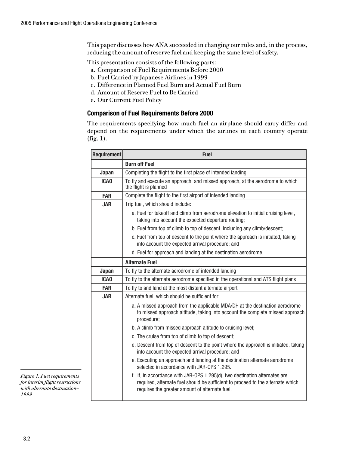This paper discusses how ANA succeeded in changing our rules and, in the process, reducing the amount of reserve fuel and keeping the same level of safety.

This presentation consists of the following parts:

- a. Comparison of Fuel Requirements Before 2000
- b. Fuel Carried by Japanese Airlines in 1999
- c. Difference in Planned Fuel Burn and Actual Fuel Burn
- d. Amount of Reserve Fuel to Be Carried
- e. Our Current Fuel Policy

## **Comparison of Fuel Requirements Before 2000**

The requirements specifying how much fuel an airplane should carry differ and depend on the requirements under which the airlines in each country operate  $(fig. 1).$ 

| <b>Requirement</b> | <b>Fuel</b>                                                                                                                                                                                                     |  |  |  |  |
|--------------------|-----------------------------------------------------------------------------------------------------------------------------------------------------------------------------------------------------------------|--|--|--|--|
|                    | <b>Burn off Fuel</b>                                                                                                                                                                                            |  |  |  |  |
| <b>Japan</b>       | Completing the flight to the first place of intended landing                                                                                                                                                    |  |  |  |  |
| <b>ICAO</b>        | To fly and execute an approach, and missed approach, at the aerodrome to which<br>the flight is planned                                                                                                         |  |  |  |  |
| <b>FAR</b>         | Complete the flight to the first airport of intended landing                                                                                                                                                    |  |  |  |  |
| <b>JAR</b>         | Trip fuel, which should include:                                                                                                                                                                                |  |  |  |  |
|                    | a. Fuel for takeoff and climb from aerodrome elevation to initial cruising level,<br>taking into account the expected departure routing;                                                                        |  |  |  |  |
|                    | b. Fuel from top of climb to top of descent, including any climb/descent;                                                                                                                                       |  |  |  |  |
|                    | c. Fuel from top of descent to the point where the approach is initiated, taking<br>into account the expected arrival procedure; and                                                                            |  |  |  |  |
|                    | d. Fuel for approach and landing at the destination aerodrome.                                                                                                                                                  |  |  |  |  |
|                    | <b>Alternate Fuel</b>                                                                                                                                                                                           |  |  |  |  |
| <b>Japan</b>       | To fly to the alternate aerodrome of intended landing                                                                                                                                                           |  |  |  |  |
| <b>ICAO</b>        | To fly to the alternate aerodrome specified in the operational and ATS flight plans                                                                                                                             |  |  |  |  |
| <b>FAR</b>         | To fly to and land at the most distant alternate airport                                                                                                                                                        |  |  |  |  |
| <b>JAR</b>         | Alternate fuel, which should be sufficient for:                                                                                                                                                                 |  |  |  |  |
|                    | a. A missed approach from the applicable MDA/DH at the destination aerodrome<br>to missed approach altitude, taking into account the complete missed approach<br>procedure;                                     |  |  |  |  |
|                    | b. A climb from missed approach altitude to cruising level;                                                                                                                                                     |  |  |  |  |
|                    | c. The cruise from top of climb to top of descent;                                                                                                                                                              |  |  |  |  |
|                    | d. Descent from top of descent to the point where the approach is initiated, taking<br>into account the expected arrival procedure; and                                                                         |  |  |  |  |
|                    | e. Executing an approach and landing at the destination alternate aerodrome<br>selected in accordance with JAR-OPS 1.295.                                                                                       |  |  |  |  |
|                    | f. If, in accordance with JAR-OPS 1.295(d), two destination alternates are<br>required, alternate fuel should be sufficient to proceed to the alternate which<br>requires the greater amount of alternate fuel. |  |  |  |  |

Figure 1. Fuel requirements for interim flight restrictions with alternate destination-1999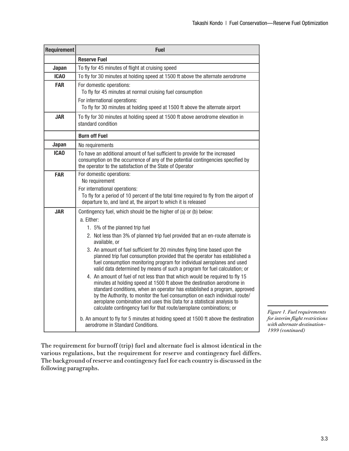| <b>Requirement</b> | <b>Fuel</b>                                                                                                                                                                                                                                                                                                                                                                                                                                                                                                                                                                                                                                                                                                                                                                                                                                                                                                                                                                                                                                                                                                                                 |  |  |  |  |
|--------------------|---------------------------------------------------------------------------------------------------------------------------------------------------------------------------------------------------------------------------------------------------------------------------------------------------------------------------------------------------------------------------------------------------------------------------------------------------------------------------------------------------------------------------------------------------------------------------------------------------------------------------------------------------------------------------------------------------------------------------------------------------------------------------------------------------------------------------------------------------------------------------------------------------------------------------------------------------------------------------------------------------------------------------------------------------------------------------------------------------------------------------------------------|--|--|--|--|
|                    | <b>Reserve Fuel</b>                                                                                                                                                                                                                                                                                                                                                                                                                                                                                                                                                                                                                                                                                                                                                                                                                                                                                                                                                                                                                                                                                                                         |  |  |  |  |
| Japan              | To fly for 45 minutes of flight at cruising speed                                                                                                                                                                                                                                                                                                                                                                                                                                                                                                                                                                                                                                                                                                                                                                                                                                                                                                                                                                                                                                                                                           |  |  |  |  |
| <b>ICAO</b>        | To fly for 30 minutes at holding speed at 1500 ft above the alternate aerodrome                                                                                                                                                                                                                                                                                                                                                                                                                                                                                                                                                                                                                                                                                                                                                                                                                                                                                                                                                                                                                                                             |  |  |  |  |
| <b>FAR</b>         | For domestic operations:<br>To fly for 45 minutes at normal cruising fuel consumption<br>For international operations:<br>To fly for 30 minutes at holding speed at 1500 ft above the alternate airport                                                                                                                                                                                                                                                                                                                                                                                                                                                                                                                                                                                                                                                                                                                                                                                                                                                                                                                                     |  |  |  |  |
| <b>JAR</b>         | To fly for 30 minutes at holding speed at 1500 ft above aerodrome elevation in<br>standard condition                                                                                                                                                                                                                                                                                                                                                                                                                                                                                                                                                                                                                                                                                                                                                                                                                                                                                                                                                                                                                                        |  |  |  |  |
|                    | <b>Burn off Fuel</b>                                                                                                                                                                                                                                                                                                                                                                                                                                                                                                                                                                                                                                                                                                                                                                                                                                                                                                                                                                                                                                                                                                                        |  |  |  |  |
| <b>Japan</b>       | No requirements                                                                                                                                                                                                                                                                                                                                                                                                                                                                                                                                                                                                                                                                                                                                                                                                                                                                                                                                                                                                                                                                                                                             |  |  |  |  |
| <b>ICAO</b>        | To have an additional amount of fuel sufficient to provide for the increased<br>consumption on the occurrence of any of the potential contingencies specified by<br>the operator to the satisfaction of the State of Operator                                                                                                                                                                                                                                                                                                                                                                                                                                                                                                                                                                                                                                                                                                                                                                                                                                                                                                               |  |  |  |  |
| <b>FAR</b>         | For domestic operations:<br>No requirement<br>For international operations:<br>To fly for a period of 10 percent of the total time required to fly from the airport of<br>departure to, and land at, the airport to which it is released                                                                                                                                                                                                                                                                                                                                                                                                                                                                                                                                                                                                                                                                                                                                                                                                                                                                                                    |  |  |  |  |
| <b>JAR</b>         | Contingency fuel, which should be the higher of (a) or (b) below:<br>a. Either:<br>1. 5% of the planned trip fuel<br>2. Not less than 3% of planned trip fuel provided that an en-route alternate is<br>available, or<br>3. An amount of fuel sufficient for 20 minutes flying time based upon the<br>planned trip fuel consumption provided that the operator has established a<br>fuel consumption monitoring program for individual aeroplanes and used<br>valid data determined by means of such a program for fuel calculation; or<br>4. An amount of fuel of not less than that which would be required to fly 15<br>minutes at holding speed at 1500 ft above the destination aerodrome in<br>standard conditions, when an operator has established a program, approved<br>by the Authority, to monitor the fuel consumption on each individual route/<br>aeroplane combination and uses this Data for a statistical analysis to<br>calculate contingency fuel for that route/aeroplane combinations; or<br>b. An amount to fly for 5 minutes at holding speed at 1500 ft above the destination<br>aerodrome in Standard Conditions. |  |  |  |  |

Figure 1. Fuel requirements for interim flight restrictions with alternate destination-1999 (continued)

The requirement for burnoff (trip) fuel and alternate fuel is almost identical in the various regulations, but the requirement for reserve and contingency fuel differs. The background of reserve and contingency fuel for each country is discussed in the following paragraphs.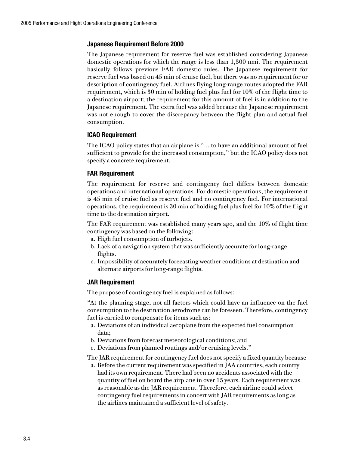## **Japanese Requirement Before 2000**

The Japanese requirement for reserve fuel was established considering Japanese domestic operations for which the range is less than 1,300 nmi. The requirement basically follows previous FAR domestic rules. The Japanese requirement for reserve fuel was based on 45 min of cruise fuel, but there was no requirement for or description of contingency fuel. Airlines flying long-range routes adopted the FAR requirement, which is 30 min of holding fuel plus fuel for 10% of the flight time to a destination airport; the requirement for this amount of fuel is in addition to the Japanese requirement. The extra fuel was added because the Japanese requirement was not enough to cover the discrepancy between the flight plan and actual fuel consumption.

## **ICAO Requirement**

The ICAO policy states that an airplane is "… to have an additional amount of fuel sufficient to provide for the increased consumption," but the ICAO policy does not specify a concrete requirement.

## **FAR Requirement**

The requirement for reserve and contingency fuel differs between domestic operations and international operations. For domestic operations, the requirement is 45 min of cruise fuel as reserve fuel and no contingency fuel. For international operations, the requirement is 30 min of holding fuel plus fuel for 10% of the flight time to the destination airport.

The FAR requirement was established many years ago, and the 10% of flight time contingency was based on the following:

- a. High fuel consumption of turbojets.
- b. Lack of a navigation system that was sufficiently accurate for long-range flights.
- c. Impossibility of accurately forecasting weather conditions at destination and alternate airports for long-range flights.

## **JAR Requirement**

The purpose of contingency fuel is explained as follows:

"At the planning stage, not all factors which could have an influence on the fuel consumption to the destination aerodrome can be foreseen. Therefore, contingency fuel is carried to compensate for items such as:

- a. Deviations of an individual aeroplane from the expected fuel consumption data;
- b. Deviations from forecast meteorological conditions; and
- c. Deviations from planned routings and/or cruising levels."

The JAR requirement for contingency fuel does not specify a fixed quantity because

a. Before the current requirement was specified in JAA countries, each country had its own requirement. There had been no accidents associated with the quantity of fuel on board the airplane in over 15 years. Each requirement was as reasonable as the JAR requirement. Therefore, each airline could select contingency fuel requirements in concert with JAR requirements as long as the airlines maintained a sufficient level of safety.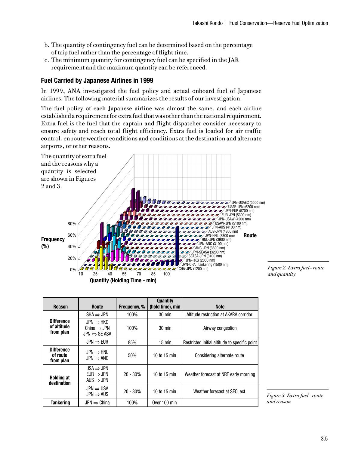- b. The quantity of contingency fuel can be determined based on the percentage of trip fuel rather than the percentage of flight time.
- c. The minimum quantity for contingency fuel can be specified in the JAR requirement and the maximum quantity can be referenced.

## **Fuel Carried by Japanese Airlines in 1999**

In 1999, ANA investigated the fuel policy and actual onboard fuel of Japanese airlines. The following material summarizes the results of our investigation.

The fuel policy of each Japanese airline was almost the same, and each airline established a requirement for extra fuel that was other than the national requirement. Extra fuel is the fuel that the captain and flight dispatcher consider necessary to ensure safety and reach total flight efficiency. Extra fuel is loaded for air traffic control, en route weather conditions and conditions at the destination and alternate airports, or other reasons.



Figure 2. Extra fuel-route and quantity

| <b>Reason</b>                                 | <b>Route</b>                                                                     | <b>Frequency, %</b> | <b>Quantity</b><br>(hold time), min | <b>Note</b>                                   |
|-----------------------------------------------|----------------------------------------------------------------------------------|---------------------|-------------------------------------|-----------------------------------------------|
|                                               | $SHA \Rightarrow JPN$                                                            | 100%                | $30 \text{ min}$                    | Altitude restriction at AKARA corridor        |
| <b>Difference</b><br>of altitude<br>from plan | $JPN \Rightarrow HKG$<br>China $\Rightarrow$ JPN<br>$JPN \Leftrightarrow$ SE ASA | 100%                | $30 \text{ min}$                    | Airway congestion                             |
|                                               | $JPN \Rightarrow EUR$                                                            | 85%                 | $15$ min                            | Restricted initial altitude to specific point |
| <b>Difference</b><br>of route<br>from plan    | $JPN \Rightarrow HNL$<br>$JPN \Rightarrow ANC$                                   | 50%                 | 10 to 15 min                        | Considering alternate route                   |
| <b>Holding at</b><br>destination              | $USA \Rightarrow JPN$<br>$EUR \Rightarrow JPN$<br>AUS $\Rightarrow$ JPN          | $20 - 30%$          | 10 to 15 min                        | Weather forecast at NRT early morning         |
|                                               | $JPN \Rightarrow USA$<br>$JPN \Rightarrow AUS$                                   | $20 - 30%$          | 10 to 15 min                        | Weather forecast at SFO, ect.                 |
| <b>Tankering</b>                              | $JPN \Rightarrow China$                                                          | 100%                | Over 100 min                        |                                               |

Figure 3. Extra fuel-route and reason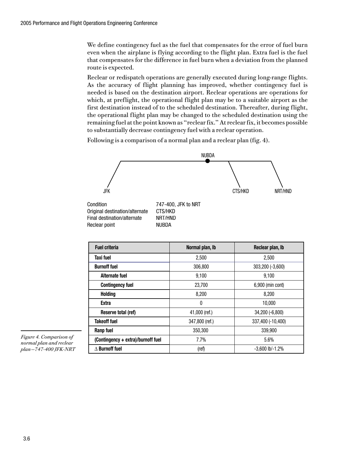We define contingency fuel as the fuel that compensates for the error of fuel burn even when the airplane is flying according to the flight plan. Extra fuel is the fuel that compensates for the difference in fuel burn when a deviation from the planned route is expected.

Reclear or redispatch operations are generally executed during long-range flights. As the accuracy of flight planning has improved, whether contingency fuel is needed is based on the destination airport. Reclear operations are operations for which, at preflight, the operational flight plan may be to a suitable airport as the first destination instead of to the scheduled destination. Thereafter, during flight, the operational flight plan may be changed to the scheduled destination using the remaining fuel at the point known as "reclear fix." At reclear fix, it becomes possible to substantially decrease contingency fuel with a reclear operation.

Following is a comparison of a normal plan and a reclear plan (fig. 4).



Original destination/alternate Final destination/alternate NRT/HND Reclear noint **NI IRDA** 

| <b>Fuel criteria</b>               | Normal plan, Ib | Reclear plan, Ib     |
|------------------------------------|-----------------|----------------------|
| Taxi fuel                          | 2,500           | 2,500                |
| <b>Burnoff fuel</b>                | 306,800         | 303,200 (-3,600)     |
| <b>Alternate fuel</b>              | 9,100           | 9,100                |
| <b>Contingency fuel</b>            | 23,700          | 6,900 (min cont)     |
| <b>Holding</b>                     | 8,200           | 8,200                |
| <b>Extra</b>                       | $\theta$        | 10,000               |
| Reserve total (ref)                | 41,000 (ref.)   | 34,200 (-6,800)      |
| <b>Takeoff fuel</b>                | 347,800 (ref.)  | 337,400 (-10,400)    |
| <b>Ranp fuel</b>                   | 350,300         | 339,900              |
| (Contingency + extra)/burnoff fuel | 7.7%            | 5.6%                 |
| $\Delta$ Burnoff fuel              | (ref)           | $-3,600$ lb/ $-1.2%$ |

Figure 4. Comparison of normal plan and reclear plan-747-400 JFK-NRT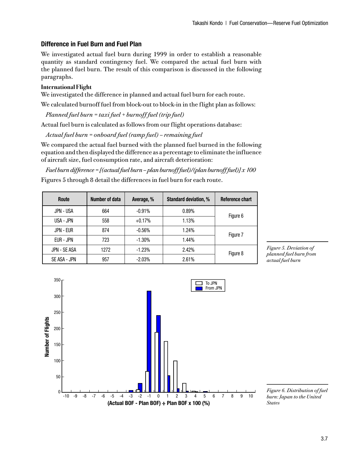## **Difference in Fuel Burn and Fuel Plan**

We investigated actual fuel burn during 1999 in order to establish a reasonable quantity as standard contingency fuel. We compared the actual fuel burn with the planned fuel burn. The result of this comparison is discussed in the following paragraphs.

#### **International Flight**

We investigated the difference in planned and actual fuel burn for each route.

We calculated burnoff fuel from block-out to block-in in the flight plan as follows:

 $Planned fuel burn = taxi fuel + burnoff fuel (trip fuel)$ 

Actual fuel burn is calculated as follows from our flight operations database:

Actual fuel burn = onboard fuel (ramp fuel) – remaining fuel

We compared the actual fuel burned with the planned fuel burned in the following equation and then displayed the difference as a percentage to eliminate the influence of aircraft size, fuel consumption rate, and aircraft deterioration:

Fuel burn difference = [(actual fuel burn – plan burnoff fuel)/(plan burnoff fuel)]  $x$  100 Figures 5 through 8 detail the differences in fuel burn for each route.

| Route            | Number of data | Average, % | <b>Standard deviation, %</b> | Reference chart |  |
|------------------|----------------|------------|------------------------------|-----------------|--|
| <b>JPN - USA</b> | 664            | $-0.91%$   | 0.89%                        |                 |  |
| USA - JPN        | 558            | $+0.17%$   | 1.13%                        | Figure 6        |  |
| JPN - EUR        | 874            | $-0.56%$   | 1.24%                        | Figure 7        |  |
| EUR - JPN        | 723            | $-1.30%$   | 1.44%                        |                 |  |
| JPN - SE ASA     | 1272           | $-1.23%$   | 2.42%                        | Figure 8        |  |
| SE ASA - JPN     | 957            | $-2.03%$   | 2.61%                        |                 |  |





Figure 6. Distribution of fuel burn: Japan to the United **States**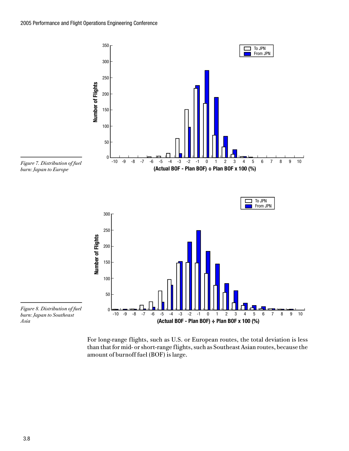

For long-range flights, such as U.S. or European routes, the total deviation is less than that for mid- or short-range flights, such as Southeast Asian routes, because the amount of burnoff fuel (BOF) is large.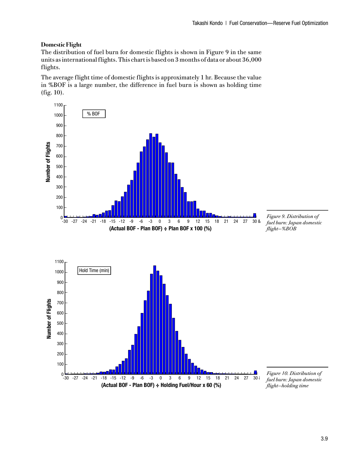## **Domestic Flight**

The distribution of fuel burn for domestic flights is shown in Figure 9 in the same units as international flights. This chart is based on 3 months of data or about 36,000 flights.

The average flight time of domestic flights is approximately 1 hr. Because the value in %BOF is a large number, the difference in fuel burn is shown as holding time  $(fig. 10)$ .

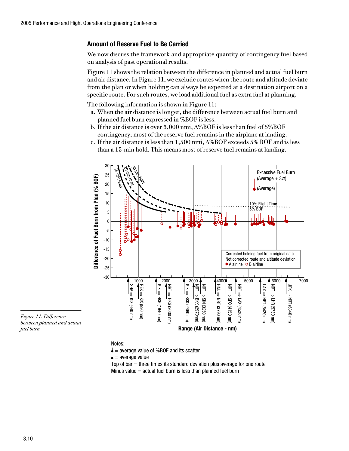## **Amount of Reserve Fuel to Be Carried**

We now discuss the framework and appropriate quantity of contingency fuel based on analysis of past operational results.

Figure 11 shows the relation between the difference in planned and actual fuel burn and air distance. In Figure 11, we exclude routes when the route and altitude deviate from the plan or when holding can always be expected at a destination airport on a specific route. For such routes, we load additional fuel as extra fuel at planning.

The following information is shown in Figure 11:

- a. When the air distance is longer, the difference between actual fuel burn and planned fuel burn expressed in %BOF is less.
- b. If the air distance is over 3,000 nmi,  $\Delta\%$ BOF is less than fuel of 5%BOF contingency; most of the reserve fuel remains in the airplane at landing.
- c. If the air distance is less than  $1,500$  nmi,  $\Delta\%BOF$  exceeds 5% BOF and is less than a 15-min hold. This means most of reserve fuel remains at landing.



Figure 11. Difference between planned and actual fuel burn

#### Notes:

 $\bullet$  = average value of %BOF and its scatter

 $\bullet$  = average value

Top of  $bar =$  three times its standard deviation plus average for one route Minus value  $=$  actual fuel burn is less than planned fuel burn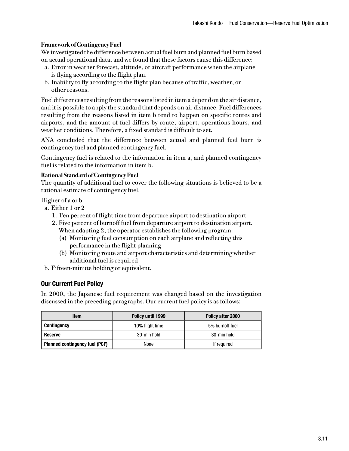## **Framework of Contingency Fuel**

We investigated the difference between actual fuel burn and planned fuel burn based on actual operational data, and we found that these factors cause this difference:

- a. Error in weather forecast, altitude, or aircraft performance when the airplane is flying according to the flight plan.
- b. Inability to fly according to the flight plan because of traffic, weather, or other reasons.

Fuel differences resulting from the reasons listed in item a depend on the air distance, and it is possible to apply the standard that depends on air distance. Fuel differences resulting from the reasons listed in item b tend to happen on specific routes and airports, and the amount of fuel differs by route, airport, operations hours, and weather conditions. Therefore, a fixed standard is difficult to set.

ANA concluded that the difference between actual and planned fuel burn is contingency fuel and planned contingency fuel.

Contingency fuel is related to the information in item a, and planned contingency fuel is related to the information in item b.

## **Rational Standard of Contingency Fuel**

The quantity of additional fuel to cover the following situations is believed to be a rational estimate of contingency fuel.

Higher of a or b:

- a. Either 1 or 2
	- 1. Ten percent of flight time from departure airport to destination airport.
	- 2. Five percent of burnoff fuel from departure airport to destination airport. When adapting 2, the operator establishes the following program:
		- (a) Monitoring fuel consumption on each airplane and reflecting this performance in the flight planning
		- (b) Monitoring route and airport characteristics and determining whether additional fuel is required
- b. Fifteen-minute holding or equivalent.

## **Our Current Fuel Policy**

In 2000, the Japanese fuel requirement was changed based on the investigation discussed in the preceding paragraphs. Our current fuel policy is as follows:

| Item                                  | Policy until 1999 | Policy after 2000 |
|---------------------------------------|-------------------|-------------------|
| <b>Contingency</b>                    | 10% flight time   | 5% burnoff fuel   |
| Reserve                               | 30-min hold       | 30-min hold       |
| <b>Planned contingency fuel (PCF)</b> | None              | If required       |